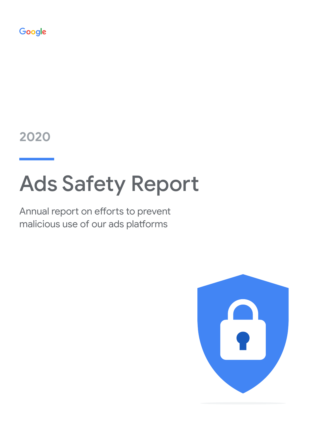Google

**2020**

# Ads Safety Report

Annual report on efforts to prevent malicious use of our ads platforms

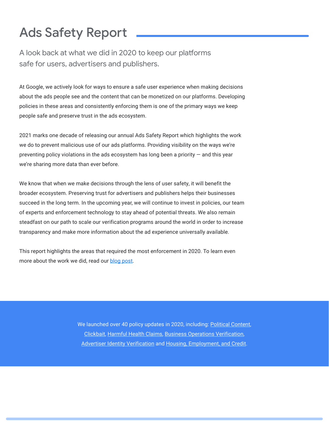# Ads Safety Report

A look back at what we did in 2020 to keep our platforms safe for users, advertisers and publishers.

At Google, we actively look for ways to ensure a safe user experience when making decisions about the ads people see and the content that can be monetized on our platforms. Developing policies in these areas and consistently enforcing them is one of the primary ways we keep people safe and preserve trust in the ads ecosystem.

2021 marks one decade of releasing our annual Ads Safety Report which highlights the work we do to prevent malicious use of our ads platforms. Providing visibility on the ways we're preventing policy violations in the ads ecosystem has long been a priority  $-$  and this year we're sharing more data than ever before.

We know that when we make decisions through the lens of user safety, it will benefit the broader ecosystem. Preserving trust for advertisers and publishers helps their businesses succeed in the long term. In the upcoming year, we will continue to invest in policies, our team of experts and enforcement technology to stay ahead of potential threats. We also remain steadfast on our path to scale our verification programs around the world in order to increase transparency and make more information about the ad experience universally available.

This report highlights the areas that required the most enforcement in 2020. To learn even more about the work we did, read our [blog post.](https://blog.google/products/ads-commerce/ads-safety-report-2020/)

> We launched over 40 policy updates in 2020, including: [Political Content,](https://support.google.com/adspolicy/answer/9679619?hl=en&ref_topic=29265) [Clickbait,](https://support.google.com/google-ads/answer/9984360?hl=en) [Harmful Health Claims,](https://support.google.com/adsense/answer/9335564) [Business Operations Verification,](https://support.google.com/adspolicy/answer/9838230?hl=en&ref_topic=29265) [Advertiser Identity Verification](https://support.google.com/adspolicy/answer/9797466?hl=en&ref_topic=29265) and [Housing, Employment, and Credit.](https://support.google.com/adspolicy/answer/9917652?hl=en&ref_topic=29265)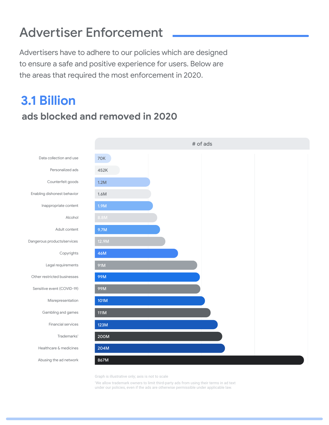## Advertiser Enforcement

Advertisers have to adhere to our policies which are designed to ensure a safe and positive experience for users. Below are the areas that required the most enforcement in 2020.

#### **ads blocked and removed in 2020 3.1 Billion**



Graph is illustrative only; axis is not to scale

\* We allow trademark owners to limit third-party ads from using their terms in ad text under our policies, even if the ads are otherwise permissible under applicable law.